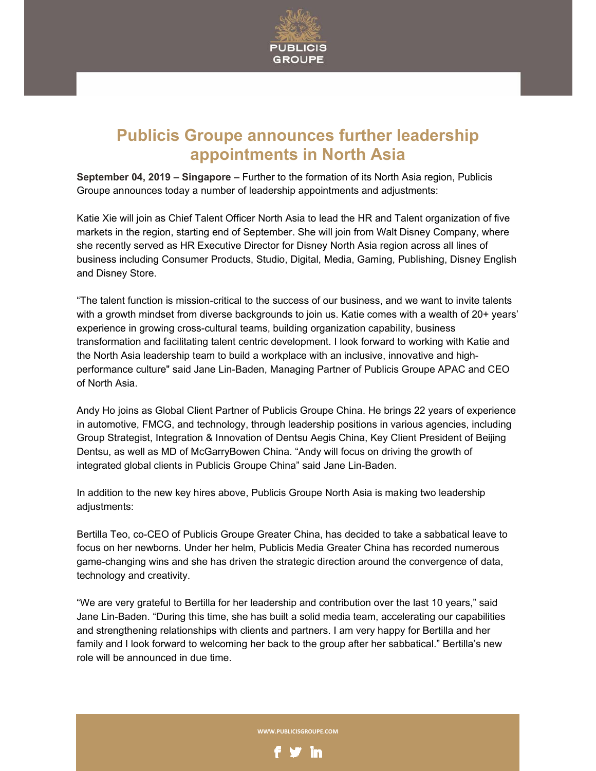

## **Publicis Groupe announces further leadership appointments in North Asia**

**September 04, 2019 – Singapore –** Further to the formation of its North Asia region, Publicis Groupe announces today a number of leadership appointments and adjustments:

Katie Xie will join as Chief Talent Officer North Asia to lead the HR and Talent organization of five markets in the region, starting end of September. She will join from Walt Disney Company, where she recently served as HR Executive Director for Disney North Asia region across all lines of business including Consumer Products, Studio, Digital, Media, Gaming, Publishing, Disney English and Disney Store.

"The talent function is mission-critical to the success of our business, and we want to invite talents with a growth mindset from diverse backgrounds to join us. Katie comes with a wealth of 20+ years' experience in growing cross-cultural teams, building organization capability, business transformation and facilitating talent centric development. I look forward to working with Katie and the North Asia leadership team to build a workplace with an inclusive, innovative and highperformance culture" said Jane Lin-Baden, Managing Partner of Publicis Groupe APAC and CEO of North Asia.

Andy Ho joins as Global Client Partner of Publicis Groupe China. He brings 22 years of experience in automotive, FMCG, and technology, through leadership positions in various agencies, including Group Strategist, Integration & Innovation of Dentsu Aegis China, Key Client President of Beijing Dentsu, as well as MD of McGarryBowen China. "Andy will focus on driving the growth of integrated global clients in Publicis Groupe China" said Jane Lin-Baden.

In addition to the new key hires above, Publicis Groupe North Asia is making two leadership adjustments:

Bertilla Teo, co-CEO of Publicis Groupe Greater China, has decided to take a sabbatical leave to focus on her newborns. Under her helm, Publicis Media Greater China has recorded numerous game-changing wins and she has driven the strategic direction around the convergence of data, technology and creativity.

"We are very grateful to Bertilla for her leadership and contribution over the last 10 years," said Jane Lin-Baden. "During this time, she has built a solid media team, accelerating our capabilities and strengthening relationships with clients and partners. I am very happy for Bertilla and her family and I look forward to welcoming her back to the group after her sabbatical." Bertilla's new role will be announced in due time.

**WWW.PUBLICISGROUPE.COM**